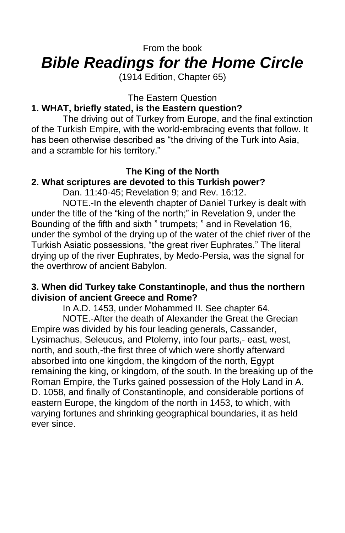# From the book *Bible Readings for the Home Circle*

(1914 Edition, Chapter 65)

The Eastern Question

# **1. WHAT, briefly stated, is the Eastern question?**

The driving out of Turkey from Europe, and the final extinction of the Turkish Empire, with the world-embracing events that follow. It has been otherwise described as "the driving of the Turk into Asia, and a scramble for his territory."

# **The King of the North**

# **2. What scriptures are devoted to this Turkish power?**

Dan. 11:40-45; Revelation 9; and Rev. 16:12.

NOTE.-In the eleventh chapter of Daniel Turkey is dealt with under the title of the "king of the north;" in Revelation 9, under the Bounding of the fifth and sixth " trumpets; " and in Revelation 16, under the symbol of the drying up of the water of the chief river of the Turkish Asiatic possessions, "the great river Euphrates." The literal drying up of the river Euphrates, by Medo-Persia, was the signal for the overthrow of ancient Babylon.

## **3. When did Turkey take Constantinople, and thus the northern division of ancient Greece and Rome?**

In A.D. 1453, under Mohammed II. See chapter 64.

NOTE.-After the death of Alexander the Great the Grecian Empire was divided by his four leading generals, Cassander, Lysimachus, Seleucus, and Ptolemy, into four parts,- east, west, north, and south,-the first three of which were shortly afterward absorbed into one kingdom, the kingdom of the north, Egypt remaining the king, or kingdom, of the south. In the breaking up of the Roman Empire, the Turks gained possession of the Holy Land in A. D. 1058, and finally of Constantinople, and considerable portions of eastern Europe, the kingdom of the north in 1453, to which, with varying fortunes and shrinking geographical boundaries, it as held ever since.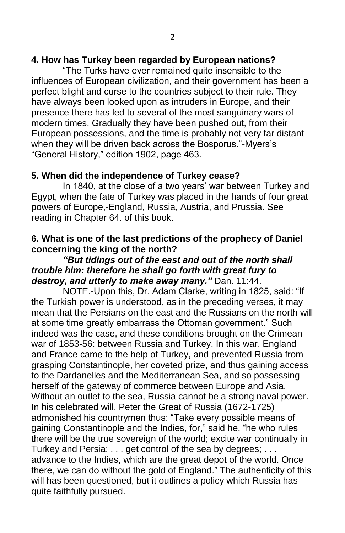"The Turks have ever remained quite insensible to the influences of European civilization, and their government has been a perfect blight and curse to the countries subject to their rule. They have always been looked upon as intruders in Europe, and their presence there has led to several of the most sanguinary wars of modern times. Gradually they have been pushed out, from their European possessions, and the time is probably not very far distant when they will be driven back across the Bosporus."-Myers's "General History," edition 1902, page 463.

## **5. When did the independence of Turkey cease?**

In 1840, at the close of a two years' war between Turkey and Egypt, when the fate of Turkey was placed in the hands of four great powers of Europe,-England, Russia, Austria, and Prussia. See reading in Chapter 64. of this book.

## **6. What is one of the last predictions of the prophecy of Daniel concerning the king of the north?**

#### *"But tidings out of the east and out of the north shall trouble him: therefore he shall go forth with great fury to destroy, and utterly to make away many."* Dan. 11:44.

NOTE.-Upon this, Dr. Adam Clarke, writing in 1825, said: "If the Turkish power is understood, as in the preceding verses, it may mean that the Persians on the east and the Russians on the north will at some time greatly embarrass the Ottoman government." Such indeed was the case, and these conditions brought on the Crimean war of 1853-56: between Russia and Turkey. In this war, England and France came to the help of Turkey, and prevented Russia from grasping Constantinople, her coveted prize, and thus gaining access to the Dardanelles and the Mediterranean Sea, and so possessing herself of the gateway of commerce between Europe and Asia. Without an outlet to the sea, Russia cannot be a strong naval power. In his celebrated will, Peter the Great of Russia (1672-1725) admonished his countrymen thus: "Take every possible means of gaining Constantinople and the Indies, for," said he, "he who rules there will be the true sovereign of the world; excite war continually in Turkey and Persia; . . . get control of the sea by degrees; . . . advance to the Indies, which are the great depot of the world. Once there, we can do without the gold of England." The authenticity of this will has been questioned, but it outlines a policy which Russia has quite faithfully pursued.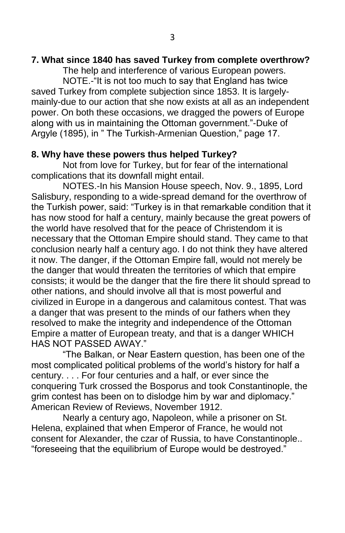#### **7. What since 1840 has saved Turkey from complete overthrow?**

The help and interference of various European powers. NOTE.-"It is not too much to say that England has twice saved Turkey from complete subjection since 1853. It is largelymainly-due to our action that she now exists at all as an independent power. On both these occasions, we dragged the powers of Europe along with us in maintaining the Ottoman government."-Duke of Argyle (1895), in " The Turkish-Armenian Question," page 17.

## **8. Why have these powers thus helped Turkey?**

Not from love for Turkey, but for fear of the international complications that its downfall might entail.

NOTES.-In his Mansion House speech, Nov. 9., 1895, Lord Salisbury, responding to a wide-spread demand for the overthrow of the Turkish power, said: "Turkey is in that remarkable condition that it has now stood for half a century, mainly because the great powers of the world have resolved that for the peace of Christendom it is necessary that the Ottoman Empire should stand. They came to that conclusion nearly half a century ago. I do not think they have altered it now. The danger, if the Ottoman Empire fall, would not merely be the danger that would threaten the territories of which that empire consists; it would be the danger that the fire there lit should spread to other nations, and should involve all that is most powerful and civilized in Europe in a dangerous and calamitous contest. That was a danger that was present to the minds of our fathers when they resolved to make the integrity and independence of the Ottoman Empire a matter of European treaty, and that is a danger WHICH HAS NOT PASSED AWAY."

"The Balkan, or Near Eastern question, has been one of the most complicated political problems of the world's history for half a century. . . . For four centuries and a half, or ever since the conquering Turk crossed the Bosporus and took Constantinople, the grim contest has been on to dislodge him by war and diplomacy." American Review of Reviews, November 1912.

Nearly a century ago, Napoleon, while a prisoner on St. Helena, explained that when Emperor of France, he would not consent for Alexander, the czar of Russia, to have Constantinople.. "foreseeing that the equilibrium of Europe would be destroyed."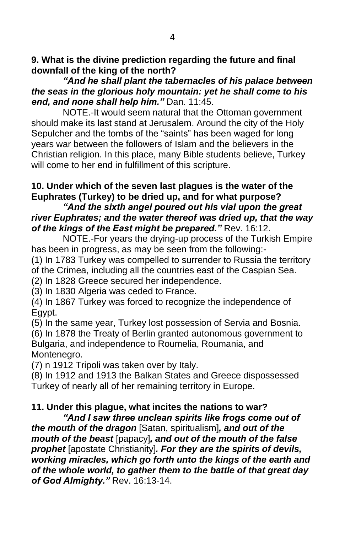**9. What is the divine prediction regarding the future and final downfall of the king of the north?**

*"And he shall plant the tabernacles of his palace between the seas in the glorious holy mountain: yet he shall come to his end, and none shall help him."* Dan. 11:45.

NOTE.-It would seem natural that the Ottoman government should make its last stand at Jerusalem. Around the city of the Holy Sepulcher and the tombs of the "saints" has been waged for long years war between the followers of Islam and the believers in the Christian religion. In this place, many Bible students believe, Turkey will come to her end in fulfillment of this scripture.

# **10. Under which of the seven last plagues is the water of the Euphrates (Turkey) to be dried up, and for what purpose?**

### *"And the sixth angel poured out his vial upon the great river Euphrates; and the water thereof was dried up, that the way of the kings of the East might be prepared."* Rev. 16:12.

NOTE.-For years the drying-up process of the Turkish Empire has been in progress, as may be seen from the following:-

(1) In 1783 Turkey was compelled to surrender to Russia the territory of the Crimea, including all the countries east of the Caspian Sea.

(2) In 1828 Greece secured her independence.

(3) In 1830 Algeria was ceded to France.

(4) In 1867 Turkey was forced to recognize the independence of Egypt.

(5) In the same year, Turkey lost possession of Servia and Bosnia.

(6) In 1878 the Treaty of Berlin granted autonomous government to Bulgaria, and independence to Roumelia, Roumania, and Montenegro.

(7) n 1912 Tripoli was taken over by Italy.

(8) In 1912 and 1913 the Balkan States and Greece dispossessed Turkey of nearly all of her remaining territory in Europe.

# **11. Under this plague, what incites the nations to war?**

*"And I saw three unclean spirits like frogs come out of the mouth of the dragon* [Satan, spiritualism]*, and out of the mouth of the beast* [papacy]*, and out of the mouth of the false prophet* [apostate Christianity]*. For they are the spirits of devils, working miracles, which go forth unto the kings of the earth and of the whole world, to gather them to the battle of that great day of God Almighty."* Rev. 16:13-14.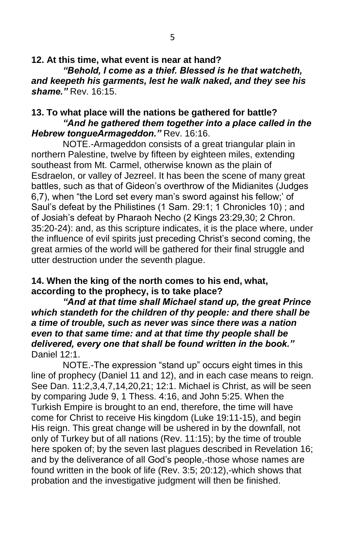**12. At this time, what event is near at hand?** *"Behold, I come as a thief. Blessed is he that watcheth, and keepeth his garments, lest he walk naked, and they see his shame."* Rev. 16:15.

#### **13. To what place will the nations be gathered for battle?** *"And he gathered them together into a place called in the Hebrew tongueArmageddon."* Rev. 16:16.

NOTE.-Armageddon consists of a great triangular plain in northern Palestine, twelve by fifteen by eighteen miles, extending southeast from Mt. Carmel, otherwise known as the plain of Esdraelon, or valley of Jezreel. It has been the scene of many great battles, such as that of Gideon's overthrow of the Midianites (Judges 6,7), when "the Lord set every man's sword against his fellow;' of Saul's defeat by the Philistines (1 Sam. 29:1; 1 Chronicles 10) ; and of Josiah's defeat by Pharaoh Necho (2 Kings 23:29,30; 2 Chron. 35:20-24): and, as this scripture indicates, it is the place where, under the influence of evil spirits just preceding Christ's second coming, the great armies of the world will be gathered for their final struggle and utter destruction under the seventh plague.

#### **14. When the king of the north comes to his end, what, according to the prophecy, is to take place?**

*"And at that time shall Michael stand up, the great Prince which standeth for the children of thy people: and there shall be a time of trouble, such as never was since there was a nation even to that same time: and at that time thy people shall be delivered, every one that shall be found written in the book."* Daniel 12:1

NOTE.-The expression "stand up" occurs eight times in this line of prophecy (Daniel 11 and 12), and in each case means to reign. See Dan. 11:2,3,4,7,14,20,21; 12:1. Michael is Christ, as will be seen by comparing Jude 9, 1 Thess. 4:16, and John 5:25. When the Turkish Empire is brought to an end, therefore, the time will have come for Christ to receive His kingdom (Luke 19:11-15), and begin His reign. This great change will be ushered in by the downfall, not only of Turkey but of all nations (Rev. 11:15); by the time of trouble here spoken of; by the seven last plagues described in Revelation 16; and by the deliverance of all God's people,-those whose names are found written in the book of life (Rev. 3:5; 20:12),-which shows that probation and the investigative judgment will then be finished.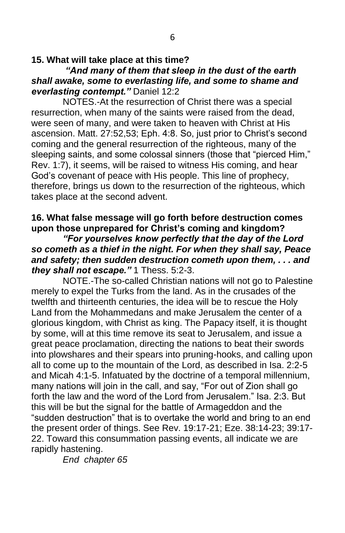### *"And many of them that sleep in the dust of the earth shall awake, some to everlasting life, and some to shame and everlasting contempt."* Daniel 12:2

NOTES.-At the resurrection of Christ there was a special resurrection, when many of the saints were raised from the dead, were seen of many, and were taken to heaven with Christ at His ascension. Matt. 27:52,53; Eph. 4:8. So, just prior to Christ's second coming and the general resurrection of the righteous, many of the sleeping saints, and some colossal sinners (those that "pierced Him," Rev. 1:7), it seems, will be raised to witness His coming, and hear God's covenant of peace with His people. This line of prophecy, therefore, brings us down to the resurrection of the righteous, which takes place at the second advent.

## **16. What false message will go forth before destruction comes upon those unprepared for Christ's coming and kingdom?**

*"For yourselves know perfectly that the day of the Lord so cometh as a thief in the night. For when they shall say, Peace and safety; then sudden destruction cometh upon them, . . . and they shall not escape."* 1 Thess. 5:2-3.

NOTE.-The so-called Christian nations will not go to Palestine merely to expel the Turks from the land. As in the crusades of the twelfth and thirteenth centuries, the idea will be to rescue the Holy Land from the Mohammedans and make Jerusalem the center of a glorious kingdom, with Christ as king. The Papacy itself, it is thought by some, will at this time remove its seat to Jerusalem, and issue a great peace proclamation, directing the nations to beat their swords into plowshares and their spears into pruning-hooks, and calling upon all to come up to the mountain of the Lord, as described in Isa. 2:2-5 and Micah 4:1-5. Infatuated by the doctrine of a temporal millennium, many nations will join in the call, and say, "For out of Zion shall go forth the law and the word of the Lord from Jerusalem." Isa. 2:3. But this will be but the signal for the battle of Armageddon and the "sudden destruction" that is to overtake the world and bring to an end the present order of things. See Rev. 19:17-21; Eze. 38:14-23; 39:17- 22. Toward this consummation passing events, all indicate we are rapidly hastening.

*End chapter 65*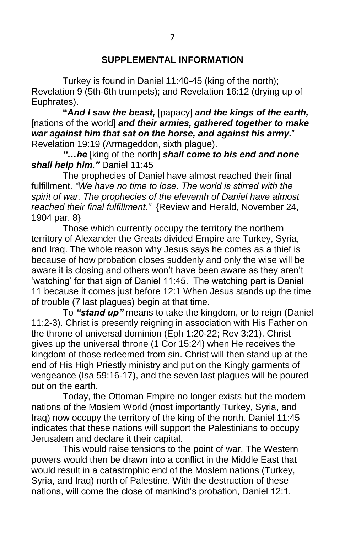Turkey is found in Daniel 11:40-45 (king of the north); Revelation 9 (5th-6th trumpets); and Revelation 16:12 (drying up of Euphrates).

**"***And I saw the beast,* [papacy] *and the kings of the earth,* [nations of the world] *and their armies, gathered together to make war against him that sat on the horse, and against his army.*" Revelation 19:19 (Armageddon, sixth plague).

*"…he* [king of the north] *shall come to his end and none shall help him."* Daniel 11:45

The prophecies of Daniel have almost reached their final fulfillment. *"We have no time to lose. The world is stirred with the spirit of war. The prophecies of the eleventh of Daniel have almost reached their final fulfillment."* {Review and Herald, November 24, 1904 par. 8}

Those which currently occupy the territory the northern territory of Alexander the Greats divided Empire are Turkey, Syria, and Iraq. The whole reason why Jesus says he comes as a thief is because of how probation closes suddenly and only the wise will be aware it is closing and others won't have been aware as they aren't 'watching' for that sign of Daniel 11:45. The watching part is Daniel 11 because it comes just before 12:1 When Jesus stands up the time of trouble (7 last plagues) begin at that time.

To *"stand up"* means to take the kingdom, or to reign (Daniel 11:2-3). Christ is presently reigning in association with His Father on the throne of universal dominion (Eph 1:20-22; Rev 3:21). Christ gives up the universal throne (1 Cor 15:24) when He receives the kingdom of those redeemed from sin. Christ will then stand up at the end of His High Priestly ministry and put on the Kingly garments of vengeance (Isa 59:16-17), and the seven last plagues will be poured out on the earth.

Today, the Ottoman Empire no longer exists but the modern nations of the Moslem World (most importantly Turkey, Syria, and Iraq) now occupy the territory of the king of the north. Daniel 11:45 indicates that these nations will support the Palestinians to occupy Jerusalem and declare it their capital.

This would raise tensions to the point of war. The Western powers would then be drawn into a conflict in the Middle East that would result in a catastrophic end of the Moslem nations (Turkey, Syria, and Iraq) north of Palestine. With the destruction of these nations, will come the close of mankind's probation, Daniel 12:1.